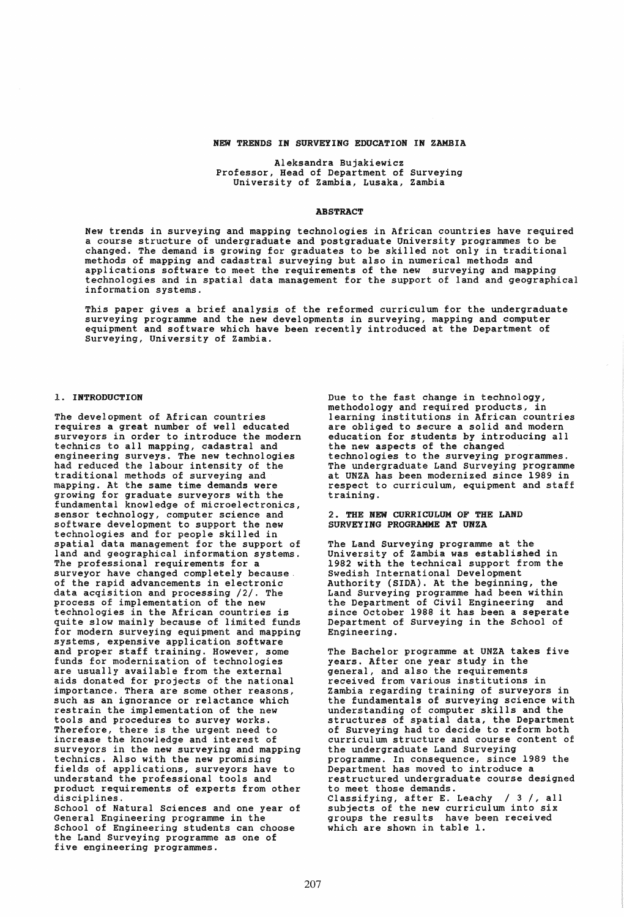#### NEW TRENDS IN SURVEYING EDUCATION IN ZAMBIA

Aleksandra Bujakiewicz Professor, Head of Department of Surveying University of Zambia, Lusaka, Zambia

#### **ABSTRACT**

New trends in surveying and mapping technologies in African countries have required a course structure of undergraduate and postgraduate University programmes to be changed. The demand is growing for graduates to be skilled not only in traditional methods of mapping and cadastral surveying but also in numerical methods and applications software to meet the requirements of the new surveying and mapping technologies and in spatial data management for the support of land and geographical information systems.

This paper gives a brief analysis of the reformed curriculum for the undergraduate surveying programme and the new developments in surveying, mapping and computer equipment and software which have been recently introduced at the Department of Surveying, University of Zambia.

### 1. INTRODUCTION

The development of African countries requires a great number of well educated surveyors in order to introduce the modern technics to all mapping, cadastral and engineering surveys. The new technologies had reduced the labour intensity of the traditional methods of surveying and mapping. At the same time demands were growing for graduate surveyors with the fundamental knowledge of microelectronics, sensor technology, computer science and sensor technology, computer science and<br>software development to support the new<br>technologies and for people skilled in spatial data management for the support of land and geographical information systems. The professional requirements for a<br>surveyor have changed completely because. of the rapid advancements in electronic data acqisition and processing  $/2/$ . The process of implementation of the new process of implementation of the new technologies in the African countries is quite slow mainly because of limited funds for modern surveying equipment and mapping systems, expensive application software funds for modernization of technologies<br>are usually available from the external aids donated for projects of the national importance. Thera are some other reasons, such as an ignorance or relactance which restrain the implementation of the new tools and procedures to survey works. Therefore, there is the urgent need to increase the knowledge and interest of surveyors in the new surveying and mapping technics. Also with the new promising fields of applications, surveyors have to understand the professional tools and product requirements of experts from other disciplines.

School of Natural Sciences and one year of General Engineering programme in the School of Engineering students can choose the Land Surveying programme as one of five engineering programmes.

Due to the fast change in technology, methodology and required products, in learning institutions in African countries are obliged to secure a solid and modern education for students by introducing all the new aspects of the changed technologies to the surveying programmes. The undergraduate Land Surveying programme at UNZA has been modernized since 1989 in respect to curriculum, equipment and staff training.

### 2. THE NEW CURRICULUM OF THE LAND SURVEYING PROGRAMME AT UNZA

The Land Surveying programme at the University of Zambia was established in 1982 with the technical support from the Swedish International Development Authority (SIDA). At the beginning, the Land Surveying programme had been within the Department of Civil Engineering and since October 1988 it has been a seperate Department of Surveying in the School of Engineering.

The Bachelor programme at UNZA takes five years. After one year study in the general, and also the requirements received from various institutions in Zambia regarding training of surveyors in the fundamentals of surveying science with understanding of computer skills and the structures of spatial data, the Department of Surveying had to decide to reform both curriculum structure and course content of the undergraduate Land Surveying programme. In consequence, since 1989 the Department has moved to introduce a restructured undergraduate course designed restructured undergraduate course designed<br>to meet those demands. Classifying, after E. Leachy / 3 /, all subjects of the new curriculum into six groups the results have been received which are shown in table 1.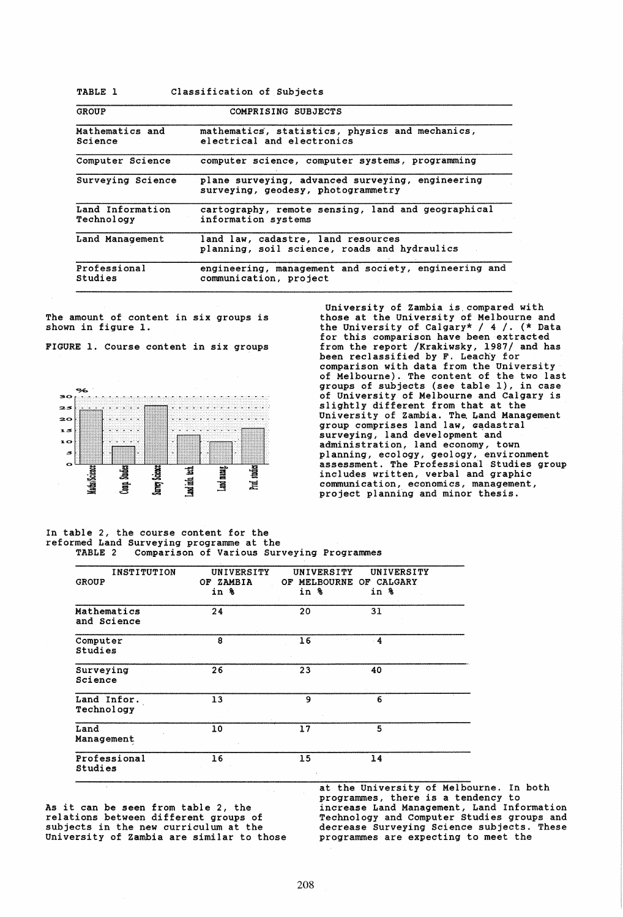| TABLE 1                        | Classification of Subjects                                                             |  |  |
|--------------------------------|----------------------------------------------------------------------------------------|--|--|
| GROUP                          | COMPRISING SUBJECTS                                                                    |  |  |
| Mathematics and<br>Science     | mathematics, statistics, physics and mechanics,<br>electrical and electronics          |  |  |
| Computer Science               | computer science, computer systems, programming                                        |  |  |
| Surveying Science              | plane surveying, advanced surveying, engineering<br>surveying, geodesy, photogrammetry |  |  |
| Land Information<br>Technology | cartography, remote sensing, land and geographical<br>information systems              |  |  |
| Land Management                | land law, cadastre, land resources<br>planning, soil science, roads and hydraulics     |  |  |
| Professional<br>Studies        | engineering, management and society, engineering and<br>communication, project         |  |  |

The amount of content in six groups is shown in figure 1.

FIGURE 1. Course content in six groups



University of Zambia is. compared with those at the University of Melbourne and the University of Calgary\* /  $4$  /. (\* Data for this comparison have been extracted from the report /Krakiwsky, 1987/ and has been reclassified by F. Leachy for comparison with data from the University of Melbourne). The content of the two last groups of subjects (see table I), in case of University of Melbourne and Calgary is slightly different from that at the University of Zambia. The Land Management group comprises land law, Gadastral surveying, land development and administration, land economy, town planning, ecology, geology, environment assessment. The Professional Studies group includes written, verbal and graphic communication, economics, management, project planning and minor thesis.

## In table 2, the course content for the reformed Land Surveying programme at the TABLE 2 Comparison of Various Surveying Programmes

| <b>INSTITUTION</b><br><b>GROUP</b> | UNIVERSITY<br>OF ZAMBIA<br>in % | UNIVERSITY<br>OF.<br>in % | UNIVERSITY<br>MELBOURNE OF CALGARY<br>in % |  |
|------------------------------------|---------------------------------|---------------------------|--------------------------------------------|--|
| Mathematics<br>and Science         | 24                              | 20                        | 31                                         |  |
| Computer<br>Studies                | 8                               | 16                        | $\overline{4}$                             |  |
| Surveying<br>Science               | 26                              | 23                        | 40                                         |  |
| Land Infor.<br>Technology          | 13                              | 9                         | 6                                          |  |
| Land<br>Management                 | 10                              | 17                        | 5                                          |  |
| Professional<br>Studies            | 16                              | 15                        | 14                                         |  |

As it can be seen from table 2, the relations between different groups of subjects in the new curriculum at the University of zambia are similar to those at the University of Melbourne. In both programmes, there is a tendency to increase Land Management, Land Information Technology and Computer Studies groups and decrease Surveying Science subjects. These programmes are expecting to meet the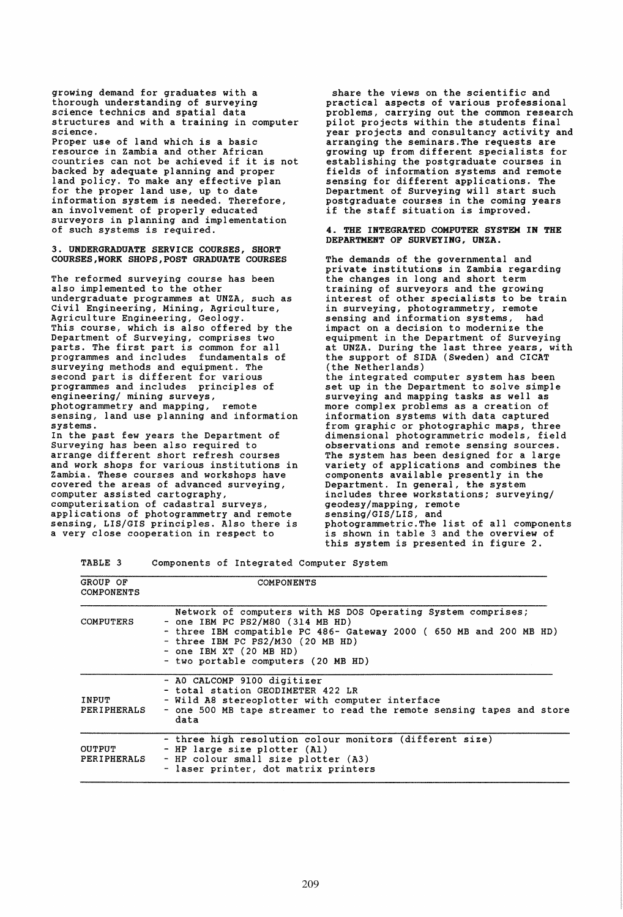growing demand for graduates with a thorough understanding of surveying science technics and spatial data structures and with a training in computer science. Proper use of land which is a basic resource in Zambia and other African countries can not be achieved if it is not backed by adequate planning and proper land policy. To make any effective plan for the proper land use, up to date information system is needed. Therefore, an involvement of properly educated surveyors in planning and implementation of such systems is required. 3. UNDERGRADUATE SERVICE COURSES, SHORT COURSES,WORK SHOPS,POST GRADUATE COURSES The reformed surveying course has been also implemented to the other undergraduate programmes at UNZA, such as Civil Engineering, Mining, Agriculture, Agriculture Engineering, Geology. This course, which is also offered by the Department of Surveying, comprises two parts. The first part is common for all programmes and includes fundamentals of surveying methods and equipment. The second part is different for various programmes and includes principles of engineering/ mining surveys,<br>photogrammetry and mapping, remote photogrammetry and mapping, sensing, land use planning and information systems. In the past few years the Department of Surveying has been also required to and work shops for various institutions in Zambia. These courses and workshops have covered the areas of advanced surveying, computer assisted cartography, computerization of cadastral surveys, applications of photogrammetry and remote sensing, LIS/GIS principles. Also there is a very close cooperation in respect to share the views on the scientific and practical aspects of various professional problems, carrying out the common research pilot projects within the students final year projects and consultancy activity and<br>arranging the seminars. The requests are growing up from different specialists for establishing the postgraduate courses in fields of information systems and remote sensing for different applications. The Department of Surveying will start such postgraduate courses in the coming years if the staff situation is improved. 4. THE INTEGRATED COMPUTER SYSTEM IN THE DEPARTMENT OF SURVEYING, UNZA. The demands of the governmental and private institutions in Zambia regarding the changes in long and short term training of surveyors and the growing interest of other specialists to be train in surveying, photogrammetry, remote sensing and information systems, had impact on a decision to modernize the equipment in the Department of Surveying at UNZA. During the last three years, with the support of SIDA (Sweden) and CICAT (the Netherlands) the integrated computer system has been set up in the Department to solve simple<br>surveying and mapping tasks as well as more complex problems as a creation of information systems with data captured from graphic or photographic maps, three dimensional photogrammetric models, field The system has been designed for a large variety of applications and combines the components available presently in the Department. In general, the system includes three workstations; surveying/ geodesy/mapping, remote sensing/GIS/LIS, and photogrammetric.The list of all components is shown in table 3 and the overview of this system is presented in figure 2.

TABLE 3 Components of Integrated Computer System

| GROUP OF<br>COMPONENTS | COMPONENTS                                                                                                                                                                                                                                                                        |
|------------------------|-----------------------------------------------------------------------------------------------------------------------------------------------------------------------------------------------------------------------------------------------------------------------------------|
| COMPUTERS              | Network of computers with MS DOS Operating System comprises;<br>- one IBM PC $PS2/M80$ (314 MB HD)<br>- three IBM compatible PC 486- Gateway 2000 (650 MB and 200 MB HD)<br>- three IBM PC PS2/M30 (20 MB HD)<br>$-$ one IBM XT (20 MB HD)<br>- two portable computers (20 MB HD) |
| INPUT<br>PERIPHERALS   | - AO CALCOMP 9100 digitizer<br>- total station GEODIMETER 422 LR<br>- Wild A8 stereoplotter with computer interface<br>- one 500 MB tape streamer to read the remote sensing tapes and store<br>data                                                                              |
| OUTPUT<br>PERIPHERALS  | - three high resolution colour monitors (different size)<br>- HP large size plotter (Al)<br>- HP colour small size plotter (A3)<br>- laser printer, dot matrix printers                                                                                                           |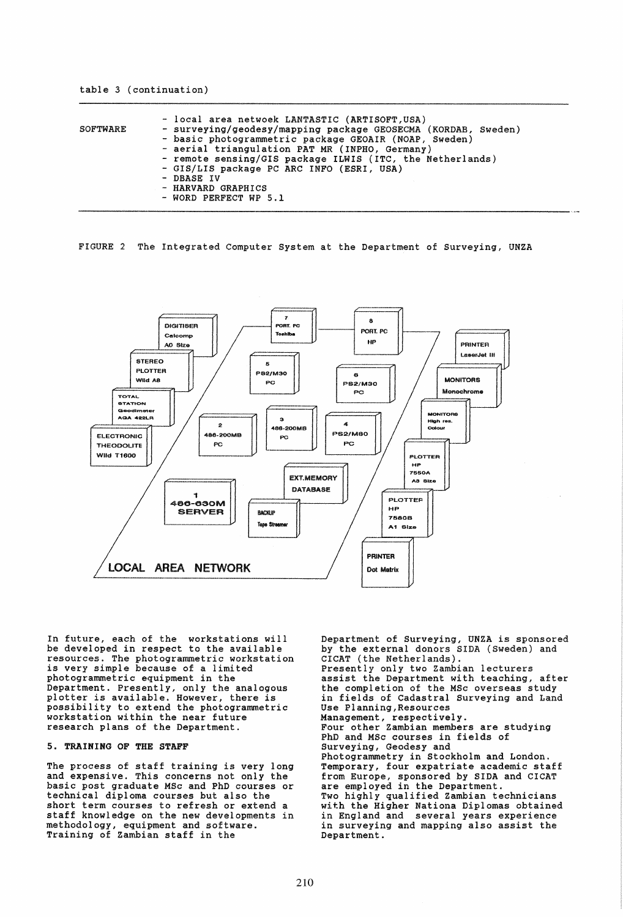| SOFTWARE | - local area netwoek LANTASTIC (ARTISOFT, USA)<br>- surveying/geodesy/mapping package GEOSECMA (KORDAB, Sweden) |
|----------|-----------------------------------------------------------------------------------------------------------------|
|          | - basic photogrammetric package GEOAIR (NOAP, Sweden)                                                           |
|          | - aerial triangulation PAT MR (INPHO, Germany)                                                                  |
|          | - remote sensing/GIS package ILWIS (ITC, the Netherlands)                                                       |
|          | - GIS/LIS package PC ARC INFO (ESRI, USA)                                                                       |
|          | - DBASE IV                                                                                                      |
|          | - HARVARD GRAPHICS                                                                                              |
|          | - WORD PERFECT WP 5.1                                                                                           |

FIGURE 2 The Integrated Computer System at the Department of Surveying, UNZA



In future, each of the workstations will<br>be developed in respect to the available be developed in respect to the available resources. The photogrammetric workstation is very simple because of a limited photogrammetric equipment in the Department. Presently, only the analogous plotter is available. However, there is possibility to extend the photogrammetric workstation within the near future research plans of the Department.

# 5. TRAINING OF THE STAFF

The process of staff training is very long and expensive. This concerns not only the basic post graduate MSc and PhD courses or technical diploma courses but also the staff knowledge on the new developments in methodology, equipment and software. Training of Zambian staff in the

Department of Surveying, UNZA is sponsored by the external donors SIDA (Sweden) and CICAT (the Netherlands). Presently only two Zambian lecturers assist the Department with teaching, after the completion of the MSc overseas study in fields of Cadastral Surveying and Land Use Planning, Resources Management, respectively. Four other Zambian members are studying PhD and MSc courses in fields of Surveying, Geodesy and Photogrammetry in Stockholm and London. Temporary, four expatriate academic staff from Europe, sponsored by SIDA and CICAT<br>are employed in the Department. Two highly qualified Zambian technicians with the Higher Nationa Diplomas obtained in England and several years experience in surveying and mapping also assist the Department.